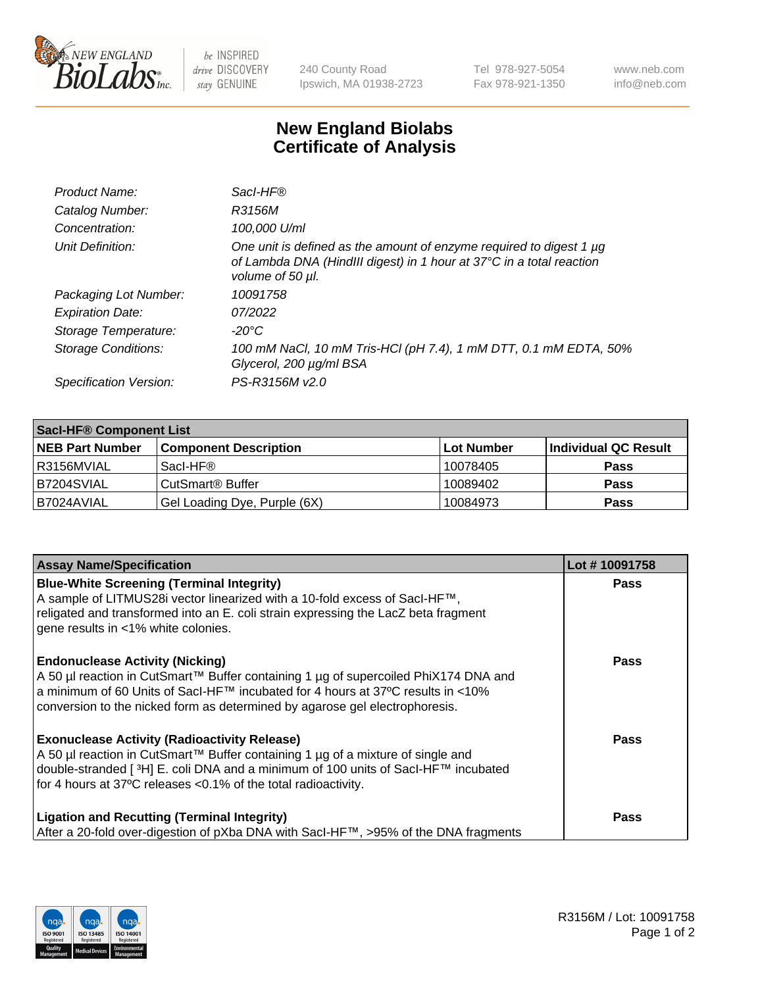

 $be$  INSPIRED drive DISCOVERY stay GENUINE

240 County Road Ipswich, MA 01938-2723 Tel 978-927-5054 Fax 978-921-1350 www.neb.com info@neb.com

## **New England Biolabs Certificate of Analysis**

| Product Name:           | Sacl-HF®                                                                                                                                                        |
|-------------------------|-----------------------------------------------------------------------------------------------------------------------------------------------------------------|
| Catalog Number:         | R3156M                                                                                                                                                          |
| Concentration:          | 100,000 U/ml                                                                                                                                                    |
| Unit Definition:        | One unit is defined as the amount of enzyme required to digest 1 µg<br>of Lambda DNA (HindIII digest) in 1 hour at 37°C in a total reaction<br>volume of 50 µl. |
| Packaging Lot Number:   | 10091758                                                                                                                                                        |
| <b>Expiration Date:</b> | 07/2022                                                                                                                                                         |
| Storage Temperature:    | $-20^{\circ}$ C                                                                                                                                                 |
| Storage Conditions:     | 100 mM NaCl, 10 mM Tris-HCl (pH 7.4), 1 mM DTT, 0.1 mM EDTA, 50%<br>Glycerol, 200 µg/ml BSA                                                                     |
| Specification Version:  | PS-R3156M v2.0                                                                                                                                                  |

| <b>Saci-HF® Component List</b> |                              |             |                      |  |  |
|--------------------------------|------------------------------|-------------|----------------------|--|--|
| <b>NEB Part Number</b>         | <b>Component Description</b> | ∣Lot Number | Individual QC Result |  |  |
| I R3156MVIAL                   | Sacl-HF®                     | 10078405    | <b>Pass</b>          |  |  |
| IB7204SVIAL                    | CutSmart <sup>®</sup> Buffer | 10089402    | <b>Pass</b>          |  |  |
| B7024AVIAL                     | Gel Loading Dye, Purple (6X) | 10084973    | <b>Pass</b>          |  |  |

| <b>Assay Name/Specification</b>                                                                                                                                                                                                                                                                            | Lot #10091758 |
|------------------------------------------------------------------------------------------------------------------------------------------------------------------------------------------------------------------------------------------------------------------------------------------------------------|---------------|
| <b>Blue-White Screening (Terminal Integrity)</b><br>A sample of LITMUS28i vector linearized with a 10-fold excess of SacI-HF™,<br>religated and transformed into an E. coli strain expressing the LacZ beta fragment<br>gene results in <1% white colonies.                                                | <b>Pass</b>   |
| <b>Endonuclease Activity (Nicking)</b><br>A 50 µl reaction in CutSmart™ Buffer containing 1 µg of supercoiled PhiX174 DNA and<br>a minimum of 60 Units of Sacl-HF™ incubated for 4 hours at 37°C results in <10%<br>conversion to the nicked form as determined by agarose gel electrophoresis.            | <b>Pass</b>   |
| <b>Exonuclease Activity (Radioactivity Release)</b><br>A 50 µl reaction in CutSmart™ Buffer containing 1 µg of a mixture of single and<br>double-stranded [ <sup>3</sup> H] E. coli DNA and a minimum of 100 units of Sacl-HF™ incubated<br>for 4 hours at 37°C releases <0.1% of the total radioactivity. | <b>Pass</b>   |
| <b>Ligation and Recutting (Terminal Integrity)</b><br>After a 20-fold over-digestion of pXba DNA with Sacl-HF™, >95% of the DNA fragments                                                                                                                                                                  | <b>Pass</b>   |